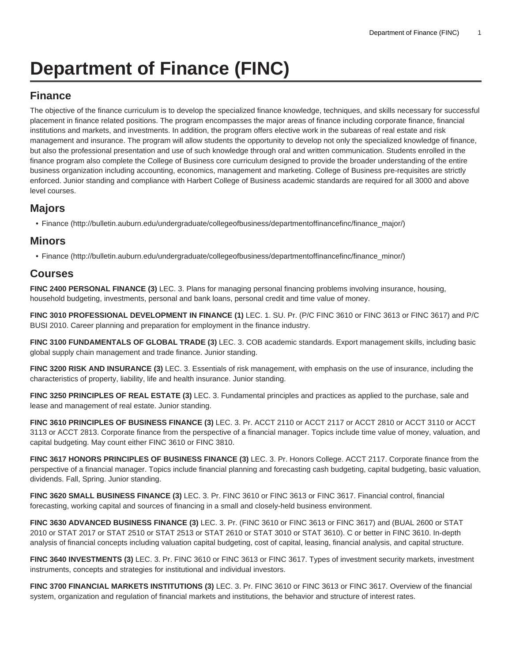# **Department of Finance (FINC)**

## **Finance**

The objective of the finance curriculum is to develop the specialized finance knowledge, techniques, and skills necessary for successful placement in finance related positions. The program encompasses the major areas of finance including corporate finance, financial institutions and markets, and investments. In addition, the program offers elective work in the subareas of real estate and risk management and insurance. The program will allow students the opportunity to develop not only the specialized knowledge of finance, but also the professional presentation and use of such knowledge through oral and written communication. Students enrolled in the finance program also complete the College of Business core curriculum designed to provide the broader understanding of the entire business organization including accounting, economics, management and marketing. College of Business pre-requisites are strictly enforced. Junior standing and compliance with Harbert College of Business academic standards are required for all 3000 and above level courses.

## **Majors**

• [Finance](http://bulletin.auburn.edu/undergraduate/collegeofbusiness/departmentoffinancefinc/finance_major/) ([http://bulletin.auburn.edu/undergraduate/collegeofbusiness/departmentoffinancefinc/finance\\_major/\)](http://bulletin.auburn.edu/undergraduate/collegeofbusiness/departmentoffinancefinc/finance_major/)

#### **Minors**

• [Finance](http://bulletin.auburn.edu/undergraduate/collegeofbusiness/departmentoffinancefinc/finance_minor/) ([http://bulletin.auburn.edu/undergraduate/collegeofbusiness/departmentoffinancefinc/finance\\_minor/\)](http://bulletin.auburn.edu/undergraduate/collegeofbusiness/departmentoffinancefinc/finance_minor/)

#### **Courses**

**FINC 2400 PERSONAL FINANCE (3)** LEC. 3. Plans for managing personal financing problems involving insurance, housing, household budgeting, investments, personal and bank loans, personal credit and time value of money.

**FINC 3010 PROFESSIONAL DEVELOPMENT IN FINANCE (1)** LEC. 1. SU. Pr. (P/C FINC 3610 or FINC 3613 or FINC 3617) and P/C BUSI 2010. Career planning and preparation for employment in the finance industry.

**FINC 3100 FUNDAMENTALS OF GLOBAL TRADE (3)** LEC. 3. COB academic standards. Export management skills, including basic global supply chain management and trade finance. Junior standing.

**FINC 3200 RISK AND INSURANCE (3)** LEC. 3. Essentials of risk management, with emphasis on the use of insurance, including the characteristics of property, liability, life and health insurance. Junior standing.

**FINC 3250 PRINCIPLES OF REAL ESTATE (3)** LEC. 3. Fundamental principles and practices as applied to the purchase, sale and lease and management of real estate. Junior standing.

**FINC 3610 PRINCIPLES OF BUSINESS FINANCE (3)** LEC. 3. Pr. ACCT 2110 or ACCT 2117 or ACCT 2810 or ACCT 3110 or ACCT 3113 or ACCT 2813. Corporate finance from the perspective of a financial manager. Topics include time value of money, valuation, and capital budgeting. May count either FINC 3610 or FINC 3810.

**FINC 3617 HONORS PRINCIPLES OF BUSINESS FINANCE (3)** LEC. 3. Pr. Honors College. ACCT 2117. Corporate finance from the perspective of a financial manager. Topics include financial planning and forecasting cash budgeting, capital budgeting, basic valuation, dividends. Fall, Spring. Junior standing.

**FINC 3620 SMALL BUSINESS FINANCE (3)** LEC. 3. Pr. FINC 3610 or FINC 3613 or FINC 3617. Financial control, financial forecasting, working capital and sources of financing in a small and closely-held business environment.

**FINC 3630 ADVANCED BUSINESS FINANCE (3)** LEC. 3. Pr. (FINC 3610 or FINC 3613 or FINC 3617) and (BUAL 2600 or STAT 2010 or STAT 2017 or STAT 2510 or STAT 2513 or STAT 2610 or STAT 3010 or STAT 3610). C or better in FINC 3610. In-depth analysis of financial concepts including valuation capital budgeting, cost of capital, leasing, financial analysis, and capital structure.

**FINC 3640 INVESTMENTS (3)** LEC. 3. Pr. FINC 3610 or FINC 3613 or FINC 3617. Types of investment security markets, investment instruments, concepts and strategies for institutional and individual investors.

**FINC 3700 FINANCIAL MARKETS INSTITUTIONS (3)** LEC. 3. Pr. FINC 3610 or FINC 3613 or FINC 3617. Overview of the financial system, organization and regulation of financial markets and institutions, the behavior and structure of interest rates.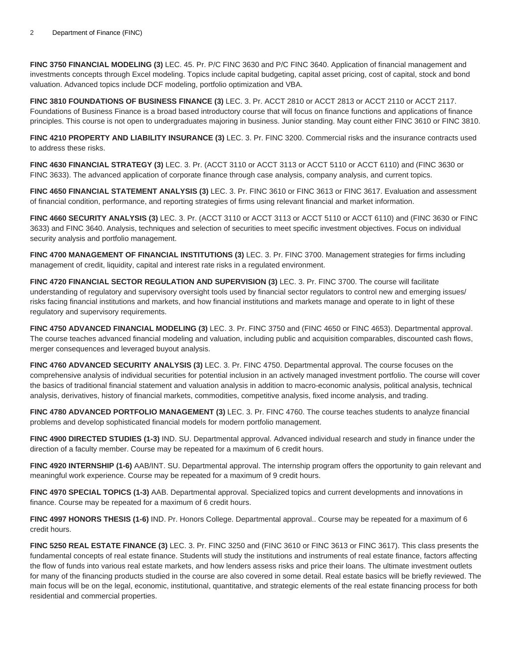**FINC 3750 FINANCIAL MODELING (3)** LEC. 45. Pr. P/C FINC 3630 and P/C FINC 3640. Application of financial management and investments concepts through Excel modeling. Topics include capital budgeting, capital asset pricing, cost of capital, stock and bond valuation. Advanced topics include DCF modeling, portfolio optimization and VBA.

**FINC 3810 FOUNDATIONS OF BUSINESS FINANCE (3)** LEC. 3. Pr. ACCT 2810 or ACCT 2813 or ACCT 2110 or ACCT 2117. Foundations of Business Finance is a broad based introductory course that will focus on finance functions and applications of finance principles. This course is not open to undergraduates majoring in business. Junior standing. May count either FINC 3610 or FINC 3810.

**FINC 4210 PROPERTY AND LIABILITY INSURANCE (3)** LEC. 3. Pr. FINC 3200. Commercial risks and the insurance contracts used to address these risks.

**FINC 4630 FINANCIAL STRATEGY (3)** LEC. 3. Pr. (ACCT 3110 or ACCT 3113 or ACCT 5110 or ACCT 6110) and (FINC 3630 or FINC 3633). The advanced application of corporate finance through case analysis, company analysis, and current topics.

**FINC 4650 FINANCIAL STATEMENT ANALYSIS (3)** LEC. 3. Pr. FINC 3610 or FINC 3613 or FINC 3617. Evaluation and assessment of financial condition, performance, and reporting strategies of firms using relevant financial and market information.

**FINC 4660 SECURITY ANALYSIS (3)** LEC. 3. Pr. (ACCT 3110 or ACCT 3113 or ACCT 5110 or ACCT 6110) and (FINC 3630 or FINC 3633) and FINC 3640. Analysis, techniques and selection of securities to meet specific investment objectives. Focus on individual security analysis and portfolio management.

**FINC 4700 MANAGEMENT OF FINANCIAL INSTITUTIONS (3)** LEC. 3. Pr. FINC 3700. Management strategies for firms including management of credit, liquidity, capital and interest rate risks in a regulated environment.

**FINC 4720 FINANCIAL SECTOR REGULATION AND SUPERVISION (3)** LEC. 3. Pr. FINC 3700. The course will facilitate understanding of regulatory and supervisory oversight tools used by financial sector regulators to control new and emerging issues/ risks facing financial institutions and markets, and how financial institutions and markets manage and operate to in light of these regulatory and supervisory requirements.

**FINC 4750 ADVANCED FINANCIAL MODELING (3)** LEC. 3. Pr. FINC 3750 and (FINC 4650 or FINC 4653). Departmental approval. The course teaches advanced financial modeling and valuation, including public and acquisition comparables, discounted cash flows, merger consequences and leveraged buyout analysis.

**FINC 4760 ADVANCED SECURITY ANALYSIS (3)** LEC. 3. Pr. FINC 4750. Departmental approval. The course focuses on the comprehensive analysis of individual securities for potential inclusion in an actively managed investment portfolio. The course will cover the basics of traditional financial statement and valuation analysis in addition to macro-economic analysis, political analysis, technical analysis, derivatives, history of financial markets, commodities, competitive analysis, fixed income analysis, and trading.

**FINC 4780 ADVANCED PORTFOLIO MANAGEMENT (3)** LEC. 3. Pr. FINC 4760. The course teaches students to analyze financial problems and develop sophisticated financial models for modern portfolio management.

**FINC 4900 DIRECTED STUDIES (1-3)** IND. SU. Departmental approval. Advanced individual research and study in finance under the direction of a faculty member. Course may be repeated for a maximum of 6 credit hours.

**FINC 4920 INTERNSHIP (1-6)** AAB/INT. SU. Departmental approval. The internship program offers the opportunity to gain relevant and meaningful work experience. Course may be repeated for a maximum of 9 credit hours.

**FINC 4970 SPECIAL TOPICS (1-3)** AAB. Departmental approval. Specialized topics and current developments and innovations in finance. Course may be repeated for a maximum of 6 credit hours.

**FINC 4997 HONORS THESIS (1-6)** IND. Pr. Honors College. Departmental approval.. Course may be repeated for a maximum of 6 credit hours.

**FINC 5250 REAL ESTATE FINANCE (3)** LEC. 3. Pr. FINC 3250 and (FINC 3610 or FINC 3613 or FINC 3617). This class presents the fundamental concepts of real estate finance. Students will study the institutions and instruments of real estate finance, factors affecting the flow of funds into various real estate markets, and how lenders assess risks and price their loans. The ultimate investment outlets for many of the financing products studied in the course are also covered in some detail. Real estate basics will be briefly reviewed. The main focus will be on the legal, economic, institutional, quantitative, and strategic elements of the real estate financing process for both residential and commercial properties.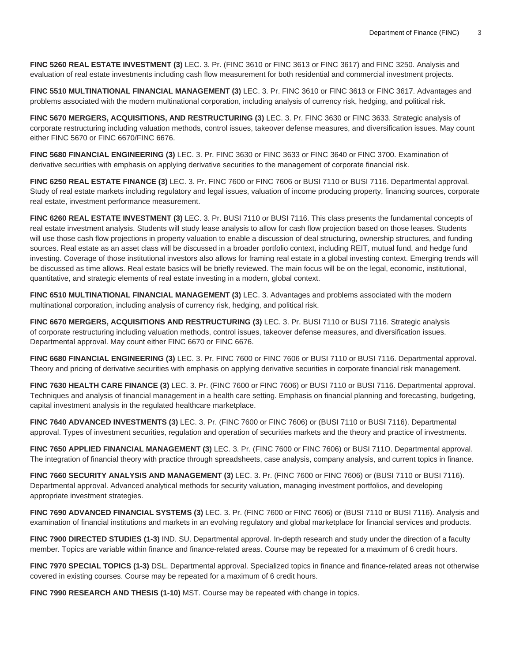**FINC 5260 REAL ESTATE INVESTMENT (3)** LEC. 3. Pr. (FINC 3610 or FINC 3613 or FINC 3617) and FINC 3250. Analysis and evaluation of real estate investments including cash flow measurement for both residential and commercial investment projects.

**FINC 5510 MULTINATIONAL FINANCIAL MANAGEMENT (3)** LEC. 3. Pr. FINC 3610 or FINC 3613 or FINC 3617. Advantages and problems associated with the modern multinational corporation, including analysis of currency risk, hedging, and political risk.

**FINC 5670 MERGERS, ACQUISITIONS, AND RESTRUCTURING (3)** LEC. 3. Pr. FINC 3630 or FINC 3633. Strategic analysis of corporate restructuring including valuation methods, control issues, takeover defense measures, and diversification issues. May count either FINC 5670 or FINC 6670/FINC 6676.

**FINC 5680 FINANCIAL ENGINEERING (3)** LEC. 3. Pr. FINC 3630 or FINC 3633 or FINC 3640 or FINC 3700. Examination of derivative securities with emphasis on applying derivative securities to the management of corporate financial risk.

**FINC 6250 REAL ESTATE FINANCE (3)** LEC. 3. Pr. FINC 7600 or FINC 7606 or BUSI 7110 or BUSI 7116. Departmental approval. Study of real estate markets including regulatory and legal issues, valuation of income producing property, financing sources, corporate real estate, investment performance measurement.

**FINC 6260 REAL ESTATE INVESTMENT (3)** LEC. 3. Pr. BUSI 7110 or BUSI 7116. This class presents the fundamental concepts of real estate investment analysis. Students will study lease analysis to allow for cash flow projection based on those leases. Students will use those cash flow projections in property valuation to enable a discussion of deal structuring, ownership structures, and funding sources. Real estate as an asset class will be discussed in a broader portfolio context, including REIT, mutual fund, and hedge fund investing. Coverage of those institutional investors also allows for framing real estate in a global investing context. Emerging trends will be discussed as time allows. Real estate basics will be briefly reviewed. The main focus will be on the legal, economic, institutional, quantitative, and strategic elements of real estate investing in a modern, global context.

**FINC 6510 MULTINATIONAL FINANCIAL MANAGEMENT (3)** LEC. 3. Advantages and problems associated with the modern multinational corporation, including analysis of currency risk, hedging, and political risk.

**FINC 6670 MERGERS, ACQUISITIONS AND RESTRUCTURING (3)** LEC. 3. Pr. BUSI 7110 or BUSI 7116. Strategic analysis of corporate restructuring including valuation methods, control issues, takeover defense measures, and diversification issues. Departmental approval. May count either FINC 6670 or FINC 6676.

**FINC 6680 FINANCIAL ENGINEERING (3)** LEC. 3. Pr. FINC 7600 or FINC 7606 or BUSI 7110 or BUSI 7116. Departmental approval. Theory and pricing of derivative securities with emphasis on applying derivative securities in corporate financial risk management.

**FINC 7630 HEALTH CARE FINANCE (3)** LEC. 3. Pr. (FINC 7600 or FINC 7606) or BUSI 7110 or BUSI 7116. Departmental approval. Techniques and analysis of financial management in a health care setting. Emphasis on financial planning and forecasting, budgeting, capital investment analysis in the regulated healthcare marketplace.

**FINC 7640 ADVANCED INVESTMENTS (3)** LEC. 3. Pr. (FINC 7600 or FINC 7606) or (BUSI 7110 or BUSI 7116). Departmental approval. Types of investment securities, regulation and operation of securities markets and the theory and practice of investments.

**FINC 7650 APPLIED FINANCIAL MANAGEMENT (3)** LEC. 3. Pr. (FINC 7600 or FINC 7606) or BUSI 711O. Departmental approval. The integration of financial theory with practice through spreadsheets, case analysis, company analysis, and current topics in finance.

**FINC 7660 SECURITY ANALYSIS AND MANAGEMENT (3)** LEC. 3. Pr. (FINC 7600 or FINC 7606) or (BUSI 7110 or BUSI 7116). Departmental approval. Advanced analytical methods for security valuation, managing investment portfolios, and developing appropriate investment strategies.

**FINC 7690 ADVANCED FINANCIAL SYSTEMS (3)** LEC. 3. Pr. (FINC 7600 or FINC 7606) or (BUSI 7110 or BUSI 7116). Analysis and examination of financial institutions and markets in an evolving regulatory and global marketplace for financial services and products.

**FINC 7900 DIRECTED STUDIES (1-3)** IND. SU. Departmental approval. In-depth research and study under the direction of a faculty member. Topics are variable within finance and finance-related areas. Course may be repeated for a maximum of 6 credit hours.

**FINC 7970 SPECIAL TOPICS (1-3)** DSL. Departmental approval. Specialized topics in finance and finance-related areas not otherwise covered in existing courses. Course may be repeated for a maximum of 6 credit hours.

**FINC 7990 RESEARCH AND THESIS (1-10)** MST. Course may be repeated with change in topics.